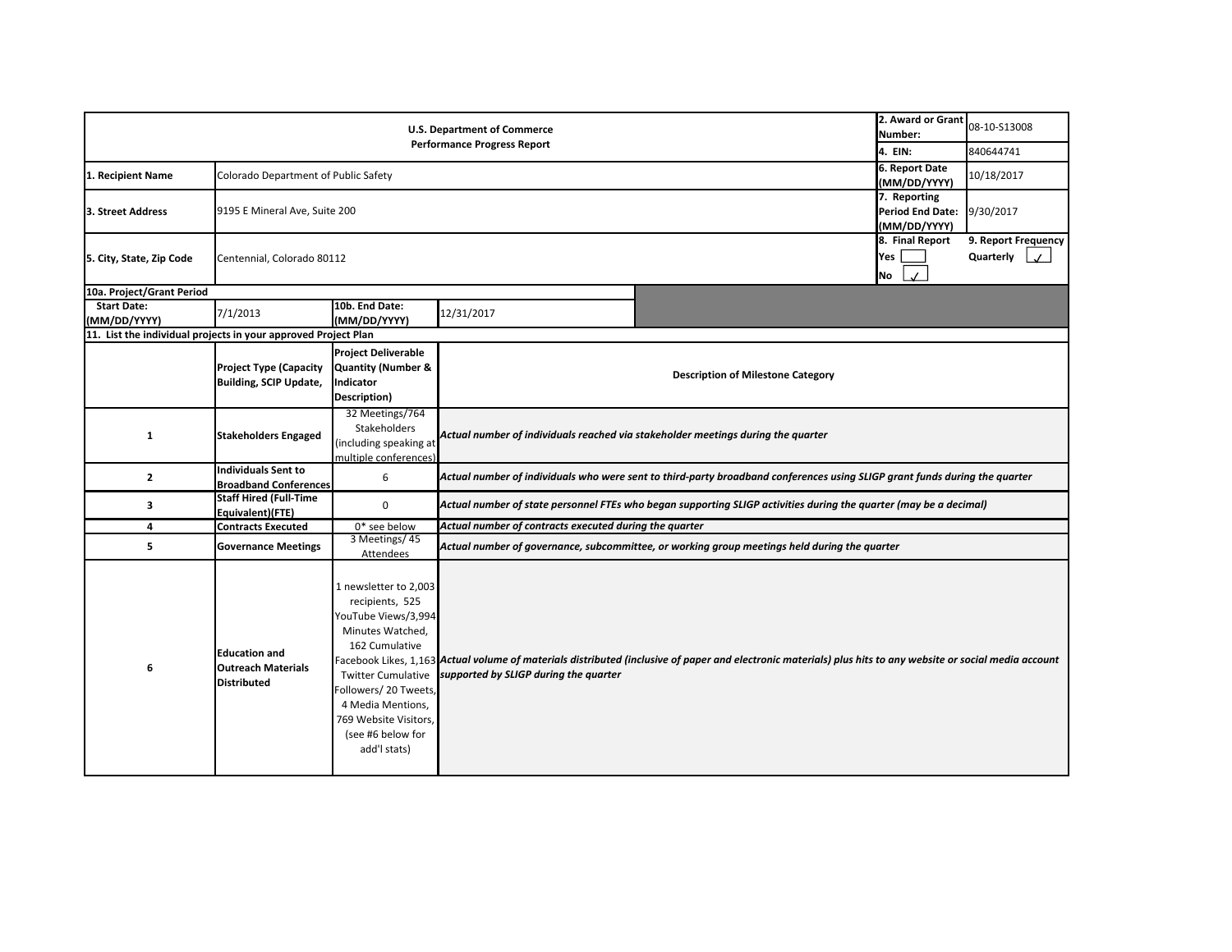|                                                                | 2. Award or Grant<br>Number:                                            | 08-10-S13008                                                                                                                                                                                                                                  |                                                                                                                   |                                                                                                                                                             |                              |                                  |  |  |
|----------------------------------------------------------------|-------------------------------------------------------------------------|-----------------------------------------------------------------------------------------------------------------------------------------------------------------------------------------------------------------------------------------------|-------------------------------------------------------------------------------------------------------------------|-------------------------------------------------------------------------------------------------------------------------------------------------------------|------------------------------|----------------------------------|--|--|
|                                                                | 4. EIN:                                                                 | 840644741                                                                                                                                                                                                                                     |                                                                                                                   |                                                                                                                                                             |                              |                                  |  |  |
| 1. Recipient Name                                              | Colorado Department of Public Safety                                    | 6. Report Date<br>(MM/DD/YYYY)                                                                                                                                                                                                                | 10/18/2017                                                                                                        |                                                                                                                                                             |                              |                                  |  |  |
| 3. Street Address                                              |                                                                         | 9195 E Mineral Ave, Suite 200                                                                                                                                                                                                                 |                                                                                                                   |                                                                                                                                                             |                              |                                  |  |  |
| 5. City, State, Zip Code                                       | Centennial, Colorado 80112                                              |                                                                                                                                                                                                                                               |                                                                                                                   |                                                                                                                                                             | 8. Final Report<br>Yes<br>No | 9. Report Frequency<br>Quarterly |  |  |
| 10a. Project/Grant Period                                      |                                                                         |                                                                                                                                                                                                                                               |                                                                                                                   |                                                                                                                                                             |                              |                                  |  |  |
| <b>Start Date:</b><br>(MM/DD/YYYY)                             | 7/1/2013                                                                | 10b. End Date:<br>(MM/DD/YYYY)                                                                                                                                                                                                                | 12/31/2017                                                                                                        |                                                                                                                                                             |                              |                                  |  |  |
| 11. List the individual projects in your approved Project Plan |                                                                         |                                                                                                                                                                                                                                               |                                                                                                                   |                                                                                                                                                             |                              |                                  |  |  |
|                                                                | <b>Project Type (Capacity</b><br><b>Building, SCIP Update,</b>          | <b>Project Deliverable</b><br><b>Quantity (Number &amp;</b><br>Indicator<br>Description)                                                                                                                                                      | <b>Description of Milestone Category</b>                                                                          |                                                                                                                                                             |                              |                                  |  |  |
| $\mathbf{1}$                                                   | <b>Stakeholders Engaged</b>                                             | 32 Meetings/764<br>Stakeholders<br>(including speaking at<br>multiple conferences)                                                                                                                                                            | Actual number of individuals reached via stakeholder meetings during the quarter                                  |                                                                                                                                                             |                              |                                  |  |  |
| $\mathbf{z}$                                                   | <b>Individuals Sent to</b><br><b>Broadband Conferences</b>              | 6                                                                                                                                                                                                                                             |                                                                                                                   | Actual number of individuals who were sent to third-party broadband conferences using SLIGP grant funds during the quarter                                  |                              |                                  |  |  |
| 3                                                              | <b>Staff Hired (Full-Time</b><br>Equivalent)(FTE)                       | 0                                                                                                                                                                                                                                             | Actual number of state personnel FTEs who began supporting SLIGP activities during the quarter (may be a decimal) |                                                                                                                                                             |                              |                                  |  |  |
| 4                                                              | <b>Contracts Executed</b>                                               | 0* see below                                                                                                                                                                                                                                  | Actual number of contracts executed during the quarter                                                            |                                                                                                                                                             |                              |                                  |  |  |
| 5                                                              | <b>Governance Meetings</b>                                              | 3 Meetings/45<br>Attendees                                                                                                                                                                                                                    | Actual number of governance, subcommittee, or working group meetings held during the quarter                      |                                                                                                                                                             |                              |                                  |  |  |
| 6                                                              | <b>Education and</b><br><b>Outreach Materials</b><br><b>Distributed</b> | 1 newsletter to 2,003<br>recipients, 525<br>YouTube Views/3,994<br>Minutes Watched,<br>162 Cumulative<br><b>Twitter Cumulative</b><br>Followers/20 Tweets,<br>4 Media Mentions,<br>769 Website Visitors,<br>(see #6 below for<br>add'l stats) | supported by SLIGP during the quarter                                                                             | Facebook Likes, 1,163 Actual volume of materials distributed (inclusive of paper and electronic materials) plus hits to any website or social media account |                              |                                  |  |  |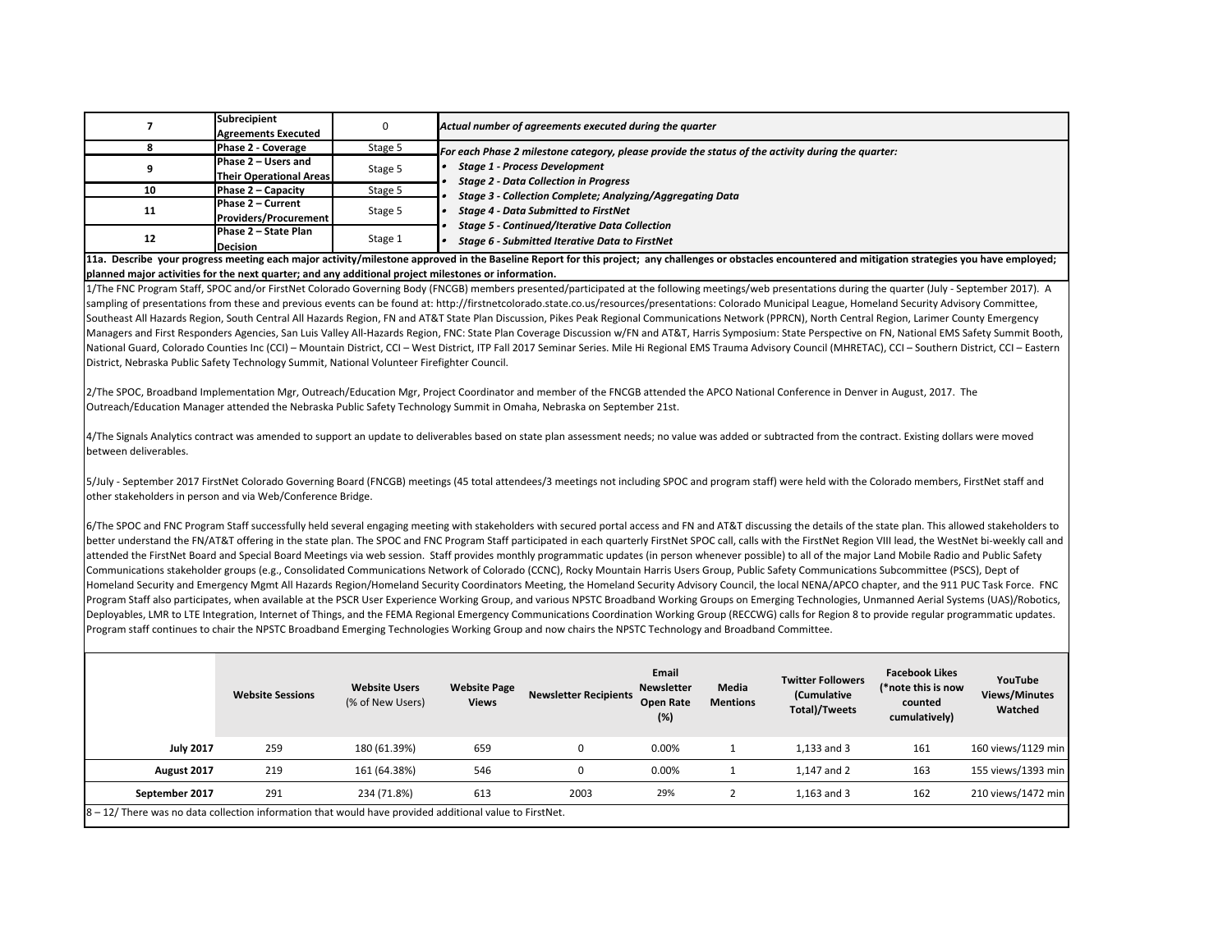|    | Subrecipient<br><b>Agreements Executed</b>            |         | Actual number of agreements executed during the quarter                                                |
|----|-------------------------------------------------------|---------|--------------------------------------------------------------------------------------------------------|
|    | Phase 2 - Coverage                                    | Stage 5 | For each Phase 2 milestone category, please provide the status of the activity during the quarter:     |
|    | Phase 2 - Users and<br><b>Their Operational Areas</b> | Stage 5 | <b>Stage 1 - Process Development</b><br><b>Stage 2 - Data Collection in Progress</b>                   |
| 10 | Phase 2 – Capacity                                    | Stage 5 | Stage 3 - Collection Complete; Analyzing/Aggregating Data                                              |
| 11 | Phase 2 – Current<br><b>Providers/Procurement</b>     | Stage 5 | <b>Stage 4 - Data Submitted to FirstNet</b>                                                            |
| 12 | Phase 2 - State Plan<br><b>Decision</b>               | Stage 1 | <b>Stage 5 - Continued/Iterative Data Collection</b><br>Stage 6 - Submitted Iterative Data to FirstNet |

**11a. Describe your progress meeting each major activity/milestone approved in the Baseline Report for this project; any challenges or obstacles encountered and mitigation strategies you have employed; planned major activities for the next quarter; and any additional project milestones or information.** 

1/The FNC Program Staff, SPOC and/or FirstNet Colorado Governing Body (FNCGB) members presented/participated at the following meetings/web presentations during the quarter (July ‐ September 2017). A sampling of presentations from these and previous events can be found at: http://firstnetcolorado.state.co.us/resources/presentations: Colorado Municipal League, Homeland Security Advisory Committee, Southeast All Hazards Region, South Central All Hazards Region, FN and AT&T State Plan Discussion, Pikes Peak Regional Communications Network (PPRCN), North Central Region, Larimer County Emergency Managers and First Responders Agencies, San Luis Valley All-Hazards Region, FNC: State Plan Coverage Discussion w/FN and AT&T, Harris Symposium: State Perspective on FN. National EMS Safety Summit Booth, National Guard, Colorado Counties Inc (CCI) – Mountain District, CCI – West District, ITP Fall 2017 Seminar Series. Mile Hi Regional EMS Trauma Advisory Council (MHRETAC), CCI – Southern District, CCI – Eastern District, Nebraska Public Safety Technology Summit, National Volunteer Firefighter Council.

2/The SPOC, Broadband Implementation Mgr, Outreach/Education Mgr, Project Coordinator and member of the FNCGB attended the APCO National Conference in Denver in August, 2017. The Outreach/Education Manager attended the Nebraska Public Safety Technology Summit in Omaha, Nebraska on September 21st.

4/The Signals Analytics contract was amended to support an update to deliverables based on state plan assessment needs; no value was added or subtracted from the contract. Existing dollars were moved between deliverables.

5/July - September 2017 FirstNet Colorado Governing Board (FNCGB) meetings (45 total attendees/3 meetings not including SPOC and program staff) were held with the Colorado members, FirstNet staff and other stakeholders in person and via Web/Conference Bridge.

6/The SPOC and FNC Program Staff successfully held several engaging meeting with stakeholders with secured portal access and FN and AT&T discussing the details of the state plan. This allowed stakeholders to better understand the FN/AT&T offering in the state plan. The SPOC and FNC Program Staff participated in each quarterly FirstNet SPOC call, calls with the FirstNet Region VIII lead, the WestNet bi‐weekly call and attended the FirstNet Board and Special Board Meetings via web session. Staff provides monthly programmatic updates (in person whenever possible) to all of the major Land Mobile Radio and Public Safety Communications stakeholder groups (e.g., Consolidated Communications Network of Colorado (CCNC), Rocky Mountain Harris Users Group, Public Safety Communications Subcommittee (PSCS), Dept of Homeland Security and Emergency Mgmt All Hazards Region/Homeland Security Coordinators Meeting, the Homeland Security Advisory Council, the local NENA/APCO chapter, and the 911 PUC Task Force. FNC Program Staff also participates, when available at the PSCR User Experience Working Group, and various NPSTC Broadband Working Groups on Emerging Technologies, Unmanned Aerial Systems (UAS)/Robotics, Deployables, LMR to LTE Integration, Internet of Things, and the FEMA Regional Emergency Communications Coordination Working Group (RECCWG) calls for Region 8 to provide regular programmatic updates. Program staff continues to chair the NPSTC Broadband Emerging Technologies Working Group and now chairs the NPSTC Technology and Broadband Committee.

|                                                                                                         | <b>Website Sessions</b> | <b>Website Users</b><br>(% of New Users) | <b>Website Page</b><br><b>Views</b> | <b>Newsletter Recipients</b> | Email<br><b>Newsletter</b><br>Open Rate<br>(%) | Media<br><b>Mentions</b> | <b>Twitter Followers</b><br>(Cumulative<br><b>Total)/Tweets</b> | <b>Facebook Likes</b><br>(*note this is now<br>counted<br>cumulatively) | YouTube<br><b>Views/Minutes</b><br>Watched |
|---------------------------------------------------------------------------------------------------------|-------------------------|------------------------------------------|-------------------------------------|------------------------------|------------------------------------------------|--------------------------|-----------------------------------------------------------------|-------------------------------------------------------------------------|--------------------------------------------|
| <b>July 2017</b>                                                                                        | 259                     | 180 (61.39%)                             | 659                                 | $\Omega$                     | 0.00%                                          |                          | 1.133 and 3                                                     | 161                                                                     | 160 views/1129 min                         |
| August 2017                                                                                             | 219                     | 161 (64.38%)                             | 546                                 | 0                            | 0.00%                                          |                          | 1.147 and 2                                                     | 163                                                                     | 155 views/1393 min                         |
| September 2017                                                                                          | 291                     | 234 (71.8%)                              | 613                                 | 2003                         | 29%                                            |                          | $1.163$ and 3                                                   | 162                                                                     | 210 views/1472 min                         |
| 8 - 12/ There was no data collection information that would have provided additional value to FirstNet. |                         |                                          |                                     |                              |                                                |                          |                                                                 |                                                                         |                                            |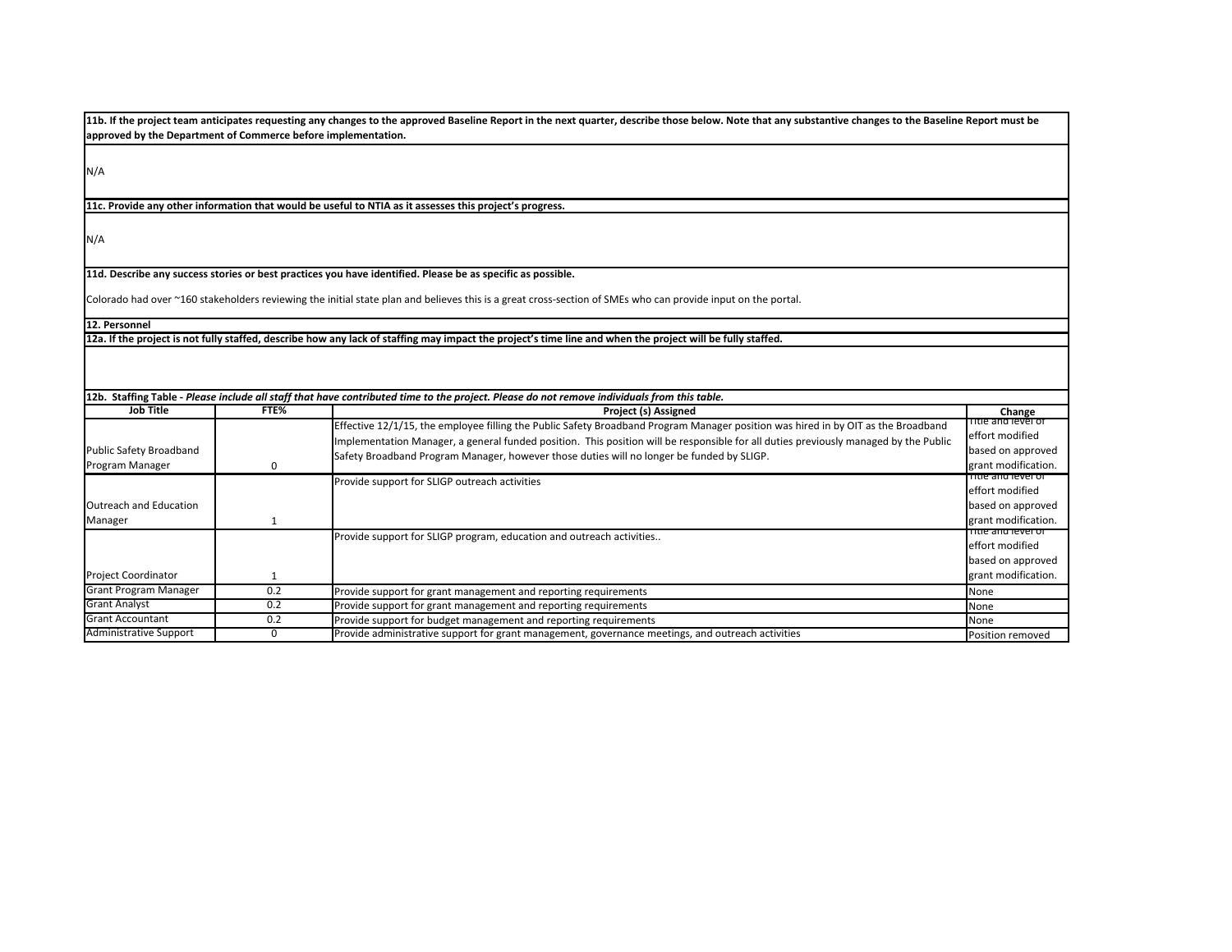| approved by the Department of Commerce before implementation. |      | 11b. If the project team anticipates requesting any changes to the approved Baseline Report in the next quarter, describe those below. Note that any substantive changes to the Baseline Report must be                                                                                                                                                                |                                                                                   |
|---------------------------------------------------------------|------|------------------------------------------------------------------------------------------------------------------------------------------------------------------------------------------------------------------------------------------------------------------------------------------------------------------------------------------------------------------------|-----------------------------------------------------------------------------------|
| N/A                                                           |      |                                                                                                                                                                                                                                                                                                                                                                        |                                                                                   |
|                                                               |      | 11c. Provide any other information that would be useful to NTIA as it assesses this project's progress.                                                                                                                                                                                                                                                                |                                                                                   |
| N/A                                                           |      |                                                                                                                                                                                                                                                                                                                                                                        |                                                                                   |
|                                                               |      | 11d. Describe any success stories or best practices you have identified. Please be as specific as possible.<br>Colorado had over ~160 stakeholders reviewing the initial state plan and believes this is a great cross-section of SMEs who can provide input on the portal.                                                                                            |                                                                                   |
| 12. Personnel                                                 |      |                                                                                                                                                                                                                                                                                                                                                                        |                                                                                   |
|                                                               |      | 12a. If the project is not fully staffed, describe how any lack of staffing may impact the project's time line and when the project will be fully staffed.                                                                                                                                                                                                             |                                                                                   |
|                                                               |      |                                                                                                                                                                                                                                                                                                                                                                        |                                                                                   |
|                                                               |      | 12b. Staffing Table - Please include all staff that have contributed time to the project. Please do not remove individuals from this table.                                                                                                                                                                                                                            |                                                                                   |
| <b>Job Title</b>                                              | FTE% | Project (s) Assigned                                                                                                                                                                                                                                                                                                                                                   | Change<br>Title and level of                                                      |
| <b>Public Safety Broadband</b><br>Program Manager             | 0    | Effective 12/1/15, the employee filling the Public Safety Broadband Program Manager position was hired in by OIT as the Broadband<br>Implementation Manager, a general funded position. This position will be responsible for all duties previously managed by the Public<br>Safety Broadband Program Manager, however those duties will no longer be funded by SLIGP. | effort modified<br>based on approved<br>grant modification.                       |
| Outreach and Education<br>Manager                             | 1    | Provide support for SLIGP outreach activities                                                                                                                                                                                                                                                                                                                          | Title and level of<br>effort modified<br>based on approved<br>grant modification. |
| <b>Project Coordinator</b>                                    | 1    | Provide support for SLIGP program, education and outreach activities                                                                                                                                                                                                                                                                                                   | Title and level of<br>effort modified<br>based on approved<br>grant modification. |
| <b>Grant Program Manager</b>                                  | 0.2  | Provide support for grant management and reporting requirements                                                                                                                                                                                                                                                                                                        | None                                                                              |
| <b>Grant Analyst</b>                                          | 0.2  | Provide support for grant management and reporting requirements                                                                                                                                                                                                                                                                                                        | None                                                                              |
| <b>Grant Accountant</b>                                       | 0.2  | Provide support for budget management and reporting requirements                                                                                                                                                                                                                                                                                                       | None                                                                              |
| <b>Administrative Support</b>                                 | 0    | Provide administrative support for grant management, governance meetings, and outreach activities                                                                                                                                                                                                                                                                      | Position removed                                                                  |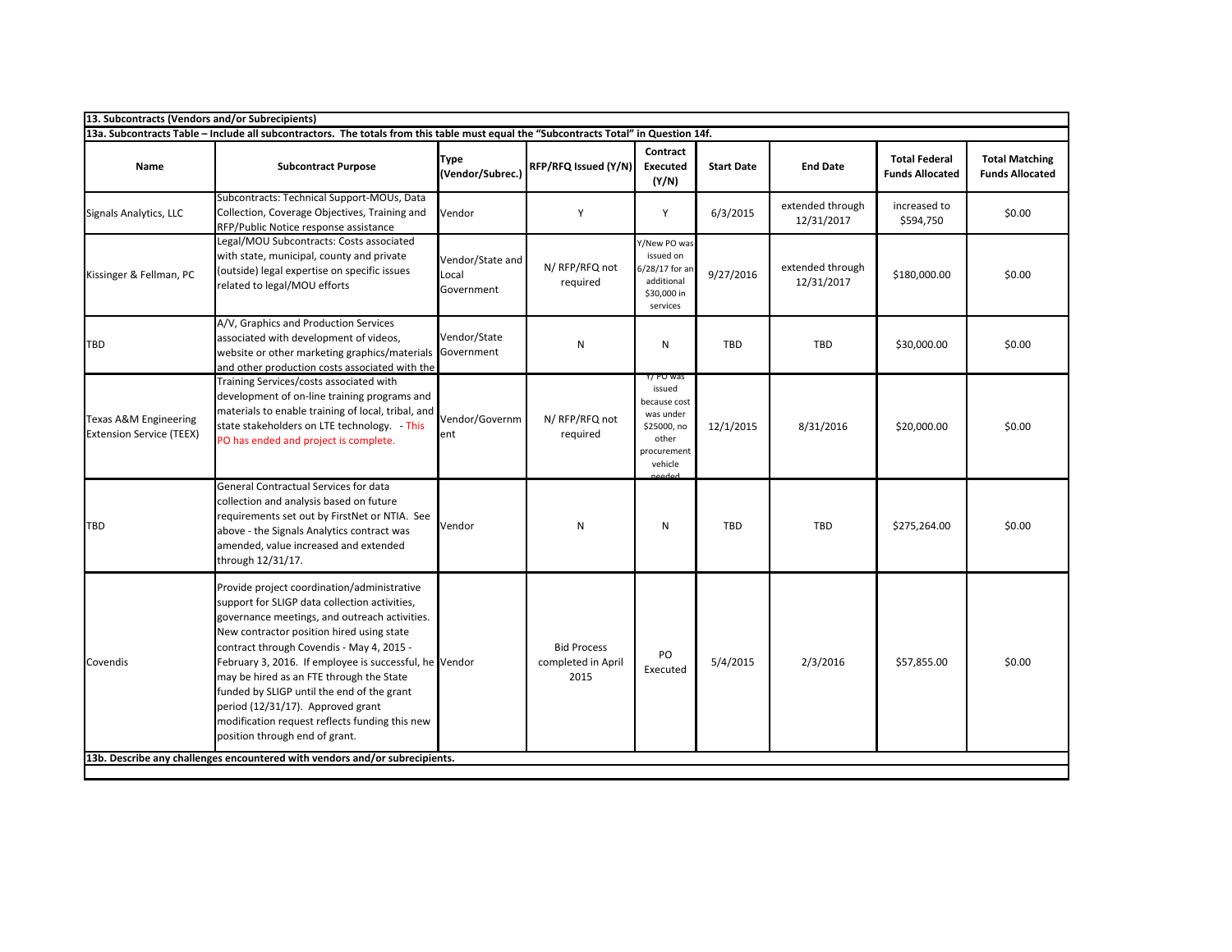| 13a. Subcontracts Table - Include all subcontractors. The totals from this table must equal the "Subcontracts Total" in Question 14f.<br>Contract |                                                                                                                                                                                                                                                                                                                                                                                                                                                                                                                      |                                         |                                                  |                                                                                                    |                   |                                |                                                |                                                 |  |  |
|---------------------------------------------------------------------------------------------------------------------------------------------------|----------------------------------------------------------------------------------------------------------------------------------------------------------------------------------------------------------------------------------------------------------------------------------------------------------------------------------------------------------------------------------------------------------------------------------------------------------------------------------------------------------------------|-----------------------------------------|--------------------------------------------------|----------------------------------------------------------------------------------------------------|-------------------|--------------------------------|------------------------------------------------|-------------------------------------------------|--|--|
| Name                                                                                                                                              | <b>Subcontract Purpose</b>                                                                                                                                                                                                                                                                                                                                                                                                                                                                                           | <b>Type</b><br>(Vendor/Subrec.)         | RFP/RFQ Issued (Y/N)                             | <b>Executed</b><br>(Y/N)                                                                           | <b>Start Date</b> | <b>End Date</b>                | <b>Total Federal</b><br><b>Funds Allocated</b> | <b>Total Matching</b><br><b>Funds Allocated</b> |  |  |
| Signals Analytics, LLC                                                                                                                            | Subcontracts: Technical Support-MOUs, Data<br>Collection, Coverage Objectives, Training and<br>RFP/Public Notice response assistance                                                                                                                                                                                                                                                                                                                                                                                 | Vendor                                  | Y                                                | Y                                                                                                  | 6/3/2015          | extended through<br>12/31/2017 | increased to<br>\$594,750                      | \$0.00                                          |  |  |
| Kissinger & Fellman, PC                                                                                                                           | Legal/MOU Subcontracts: Costs associated<br>with state, municipal, county and private<br>(outside) legal expertise on specific issues<br>related to legal/MOU efforts                                                                                                                                                                                                                                                                                                                                                | Vendor/State and<br>Local<br>Government | N/ RFP/RFQ not<br>required                       | Y/New PO was<br>issued on<br>6/28/17 for ar<br>additional<br>\$30,000 in<br>services               | 9/27/2016         | extended through<br>12/31/2017 | \$180,000.00                                   | \$0.00                                          |  |  |
| <b>TBD</b>                                                                                                                                        | A/V, Graphics and Production Services<br>associated with development of videos,<br>website or other marketing graphics/materials Government                                                                                                                                                                                                                                                                                                                                                                          | Vendor/State                            | N                                                | N                                                                                                  | TBD               | TBD                            | \$30,000.00                                    | \$0.00                                          |  |  |
| <b>Texas A&amp;M Engineering</b><br><b>Extension Service (TEEX)</b>                                                                               | and other production costs associated with the<br>Training Services/costs associated with<br>development of on-line training programs and<br>materials to enable training of local, tribal, and<br>state stakeholders on LTE technology. - This<br>PO has ended and project is complete.                                                                                                                                                                                                                             | Vendor/Governm<br>ent                   | N/ RFP/RFQ not<br>required                       | Y/ PO was<br>issued<br>because cost<br>was under<br>\$25000, no<br>other<br>procurement<br>vehicle | 12/1/2015         | 8/31/2016                      | \$20,000.00                                    | \$0.00                                          |  |  |
| <b>TBD</b>                                                                                                                                        | General Contractual Services for data<br>collection and analysis based on future<br>requirements set out by FirstNet or NTIA. See<br>above - the Signals Analytics contract was<br>amended, value increased and extended<br>through 12/31/17.                                                                                                                                                                                                                                                                        | Vendor                                  | N                                                | N                                                                                                  | TBD               | <b>TBD</b>                     | \$275,264.00                                   | \$0.00                                          |  |  |
| Covendis                                                                                                                                          | Provide project coordination/administrative<br>support for SLIGP data collection activities,<br>governance meetings, and outreach activities.<br>New contractor position hired using state<br>contract through Covendis - May 4, 2015 -<br>February 3, 2016. If employee is successful, he Vendor<br>may be hired as an FTE through the State<br>funded by SLIGP until the end of the grant<br>period (12/31/17). Approved grant<br>modification request reflects funding this new<br>position through end of grant. |                                         | <b>Bid Process</b><br>completed in April<br>2015 | PO<br>Executed                                                                                     | 5/4/2015          | 2/3/2016                       | \$57,855.00                                    | \$0.00                                          |  |  |